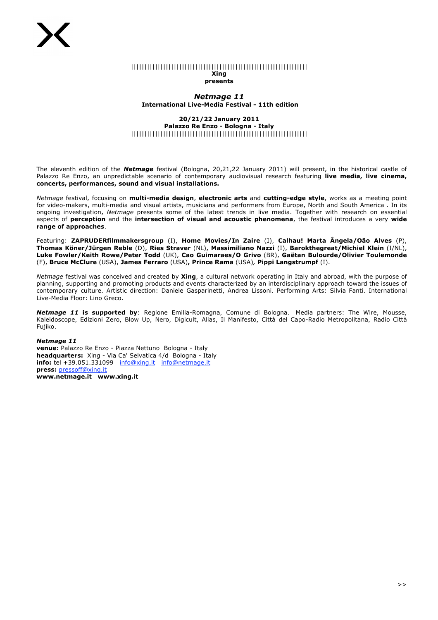#### |||||||||||||||||||||||||||||||||||||||||||||||||||||||||||||||||| **Xing presents**

*Netmage 11* **International Live-Media Festival - 11th edition** 

# **20/21/22 January 2011 Palazzo Re Enzo - Bologna - Italy**  ||||||||||||||||||||||||||||||||||||||||||||||||||||||||||||||||||

The eleventh edition of the *Netmage* festival (Bologna, 20,21,22 January 2011) will present, in the historical castle of Palazzo Re Enzo, an unpredictable scenario of contemporary audiovisual research featuring **live media, live cinema, concerts, performances, sound and visual installations.**

*Netmage* festival, focusing on **multi-media design**, **electronic arts** and **cutting-edge style**, works as a meeting point for video-makers, multi-media and visual artists, musicians and performers from Europe, North and South America . In its ongoing investigation, *Netmage* presents some of the latest trends in live media. Together with research on essential aspects of **perception** and the **intersection of visual and acoustic phenomena**, the festival introduces a very **wide range of approaches**.

Featuring: **ZAPRUDERfilmmakersgroup** (I), **Home Movies/In Zaire** (I), **Calhau! Marta Ângela/Oão Alves** (P), **Thomas Köner/Jürgen Reble** (D), **Ries Straver** (NL), **Massimiliano Nazzi** (I), **Barokthegreat/Michiel Klein** (I/NL), **Luke Fowler/Keith Rowe/Peter Todd** (UK), **Cao Guimaraes/O Grivo** (BR), **Gaëtan Bulourde/Olivier Toulemonde** (F), **Bruce McClure** (USA), **James Ferraro** (USA)**, Prince Rama** (USA)*,* **Pippi Langstrumpf** (I).

*Netmage* festival was conceived and created by **Xing**, a cultural network operating in Italy and abroad, with the purpose of planning, supporting and promoting products and events characterized by an interdisciplinary approach toward the issues of contemporary culture. Artistic direction: Daniele Gasparinetti, Andrea Lissoni. Performing Arts: Silvia Fanti. International Live-Media Floor: Lino Greco.

*Netmage 11* **is supported by**: Regione Emilia-Romagna, Comune di Bologna. Media partners: The Wire, Mousse, Kaleidoscope, Edizioni Zero, Blow Up, Nero, Digicult, Alias, Il Manifesto, Città del Capo-Radio Metropolitana, Radio Città Fujiko.

## *Netmage 11*

**venue:** Palazzo Re Enzo - Piazza Nettuno Bologna - Italy **headquarters:** Xing - Via Ca' Selvatica 4/d Bologna - Italy **info:** tel +39.051.331099 info@xing.it info@netmage.it **press:** pressoff@xing.it **www.netmage.it www.xing.it**